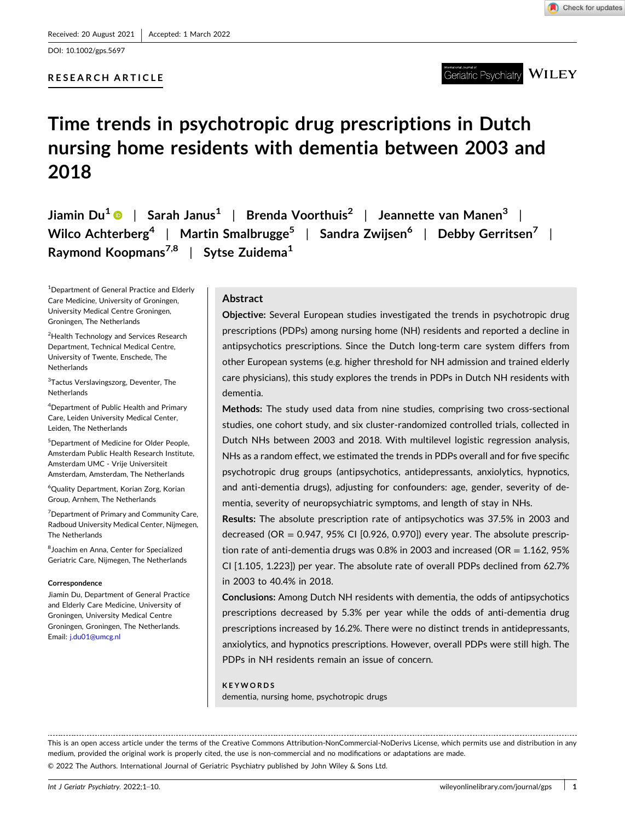DOI: [10.1002/gps.5697](https://doi.org/10.1002/gps.5697)

# **RESEARCH ARTICLE**

# Geriatric Psychiatry  $\overline{\text{WIEY}}$

# **Time trends in psychotropic drug prescriptions in Dutch nursing home residents with dementia between 2003 and 2018**

**Jiamin Du1** | **Sarah Janus1** | **Brenda Voorthuis2** | **Jeannette van Manen3** | **Wilco Achterberg4** | **Martin Smalbrugge5** | **Sandra Zwijsen6** | **Debby Gerritsen7** | **Raymond Koopmans7,8** | **Sytse Zuidema1**

<sup>1</sup>Department of General Practice and Elderly Care Medicine, University of Groningen, University Medical Centre Groningen, Groningen, The Netherlands

<sup>2</sup>Health Technology and Services Research Department, Technical Medical Centre, University of Twente, Enschede, The **Netherlands** 

<sup>3</sup>Tactus Verslavingszorg, Deventer, The **Netherlands** 

4 Department of Public Health and Primary Care, Leiden University Medical Center, Leiden, The Netherlands

5 Department of Medicine for Older People, Amsterdam Public Health Research Institute, Amsterdam UMC ‐ Vrije Universiteit Amsterdam, Amsterdam, The Netherlands

6 Quality Department, Korian Zorg, Korian Group, Arnhem, The Netherlands

<sup>7</sup> Department of Primary and Community Care, Radboud University Medical Center, Nijmegen, The Netherlands

8 Joachim en Anna, Center for Specialized Geriatric Care, Nijmegen, The Netherlands

#### **Correspondence**

Jiamin Du, Department of General Practice and Elderly Care Medicine, University of Groningen, University Medical Centre Groningen, Groningen, The Netherlands. Email: [j.du01@umcg.nl](mailto:j.du01@umcg.nl)

#### **Abstract**

**Objective:** Several European studies investigated the trends in psychotropic drug prescriptions (PDPs) among nursing home (NH) residents and reported a decline in antipsychotics prescriptions. Since the Dutch long-term care system differs from other European systems (e.g. higher threshold for NH admission and trained elderly care physicians), this study explores the trends in PDPs in Dutch NH residents with dementia.

**Methods:** The study used data from nine studies, comprising two cross‐sectional studies, one cohort study, and six cluster‐randomized controlled trials, collected in Dutch NHs between 2003 and 2018. With multilevel logistic regression analysis, NHs as a random effect, we estimated the trends in PDPs overall and for five specific psychotropic drug groups (antipsychotics, antidepressants, anxiolytics, hypnotics, and anti-dementia drugs), adjusting for confounders: age, gender, severity of dementia, severity of neuropsychiatric symptoms, and length of stay in NHs.

**Results:** The absolute prescription rate of antipsychotics was 37.5% in 2003 and decreased (OR =  $0.947$ ,  $95\%$  CI [0.926, 0.970]) every year. The absolute prescription rate of anti-dementia drugs was 0.8% in 2003 and increased (OR = 1.162, 95% CI [1.105, 1.223]) per year. The absolute rate of overall PDPs declined from 62.7% in 2003 to 40.4% in 2018.

**Conclusions:** Among Dutch NH residents with dementia, the odds of antipsychotics prescriptions decreased by 5.3% per year while the odds of anti-dementia drug prescriptions increased by 16.2%. There were no distinct trends in antidepressants, anxiolytics, and hypnotics prescriptions. However, overall PDPs were still high. The PDPs in NH residents remain an issue of concern.

#### **KEYWORDS**

dementia, nursing home, psychotropic drugs

This is an open access article under the terms of the Creative Commons Attribution‐NonCommercial‐NoDerivs License, which permits use and distribution in any medium, provided the original work is properly cited, the use is non-commercial and no modifications or adaptations are made.

© 2022 The Authors. International Journal of Geriatric Psychiatry published by John Wiley & Sons Ltd.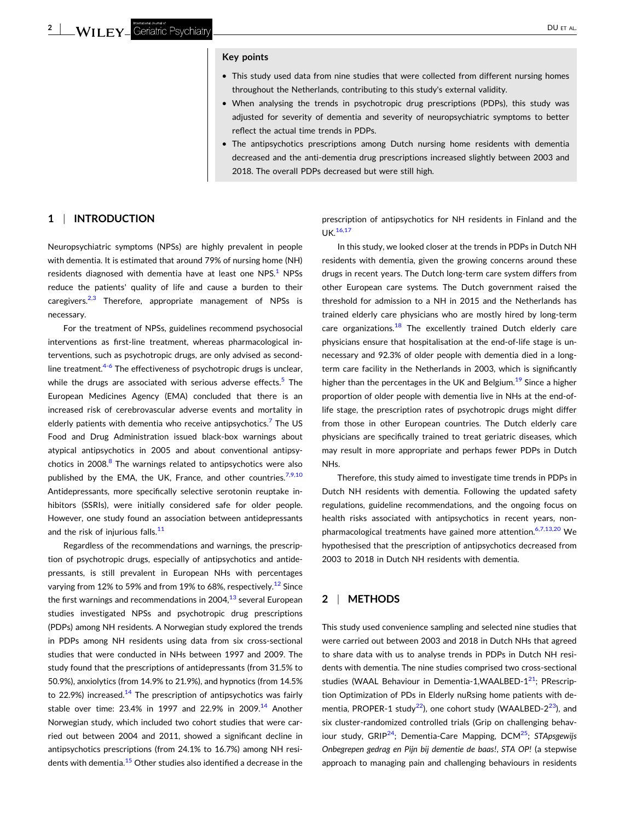#### **Key points**

- � This study used data from nine studies that were collected from different nursing homes throughout the Netherlands, contributing to this study's external validity.
- � When analysing the trends in psychotropic drug prescriptions (PDPs), this study was adjusted for severity of dementia and severity of neuropsychiatric symptoms to better reflect the actual time trends in PDPs.
- � The antipsychotics prescriptions among Dutch nursing home residents with dementia decreased and the anti‐dementia drug prescriptions increased slightly between 2003 and 2018. The overall PDPs decreased but were still high.

#### **1** <sup>|</sup> **INTRODUCTION**

Neuropsychiatric symptoms (NPSs) are highly prevalent in people with dementia. It is estimated that around 79% of nursing home (NH) residents diagnosed with dementia have at least one  $NPS<sup>1</sup>$  $NPS<sup>1</sup>$  $NPS<sup>1</sup>$  NPSs reduce the patients' quality of life and cause a burden to their caregivers. $2,3$  Therefore, appropriate management of NPSs is necessary.

For the treatment of NPSs, guidelines recommend psychosocial interventions as first-line treatment, whereas pharmacological interventions, such as psychotropic drugs, are only advised as second‐ line treatment.<sup>[4](#page-7-0)-6</sup> The effectiveness of psychotropic drugs is unclear, while the drugs are associated with serious adverse effects.<sup>[5](#page-7-0)</sup> The European Medicines Agency (EMA) concluded that there is an increased risk of cerebrovascular adverse events and mortality in elderly patients with dementia who receive antipsychotics.<sup>[7](#page-8-0)</sup> The US Food and Drug Administration issued black‐box warnings about atypical antipsychotics in 2005 and about conventional antipsy-chotics in 200[8](#page-8-0). $8$  The warnings related to antipsychotics were also published by the EMA, the UK, France, and other countries.<sup>[7,9,10](#page-8-0)</sup> Antidepressants, more specifically selective serotonin reuptake inhibitors (SSRIs), were initially considered safe for older people. However, one study found an association between antidepressants and the risk of injurious falls.<sup>[11](#page-8-0)</sup>

Regardless of the recommendations and warnings, the prescription of psychotropic drugs, especially of antipsychotics and antidepressants, is still prevalent in European NHs with percentages varying from [12](#page-8-0)% to 59% and from 19% to 68%, respectively.<sup>12</sup> Since the first warnings and recommendations in 2004, $^{13}$  $^{13}$  $^{13}$  several European studies investigated NPSs and psychotropic drug prescriptions (PDPs) among NH residents. A Norwegian study explored the trends in PDPs among NH residents using data from six cross-sectional studies that were conducted in NHs between 1997 and 2009. The study found that the prescriptions of antidepressants (from 31.5% to 50.9%), anxiolytics (from 14.9% to 21.9%), and hypnotics (from 14.5% to 22.9%) increased.<sup>[14](#page-8-0)</sup> The prescription of antipsychotics was fairly stable over time: 23.4% in 1997 and 22.9% in 2009.<sup>[14](#page-8-0)</sup> Another Norwegian study, which included two cohort studies that were carried out between 2004 and 2011, showed a significant decline in antipsychotics prescriptions (from 24.1% to 16.7%) among NH residents with dementia.<sup>15</sup> Other studies also identified a decrease in the

prescription of antipsychotics for NH residents in Finland and the UK.[16,17](#page-8-0)

In this study, we looked closer at the trends in PDPs in Dutch NH residents with dementia, given the growing concerns around these drugs in recent years. The Dutch long‐term care system differs from other European care systems. The Dutch government raised the threshold for admission to a NH in 2015 and the Netherlands has trained elderly care physicians who are mostly hired by long‐term care organizations.<sup>[18](#page-8-0)</sup> The excellently trained Dutch elderly care physicians ensure that hospitalisation at the end‐of‐life stage is unnecessary and 92.3% of older people with dementia died in a long‐ term care facility in the Netherlands in 2003, which is significantly higher than the percentages in the UK and Belgium.<sup>[19](#page-8-0)</sup> Since a higher proportion of older people with dementia live in NHs at the end‐of‐ life stage, the prescription rates of psychotropic drugs might differ from those in other European countries. The Dutch elderly care physicians are specifically trained to treat geriatric diseases, which may result in more appropriate and perhaps fewer PDPs in Dutch NHs.

Therefore, this study aimed to investigate time trends in PDPs in Dutch NH residents with dementia. Following the updated safety regulations, guideline recommendations, and the ongoing focus on health risks associated with antipsychotics in recent years, non-pharmacological treatments have gained more attention.<sup>[6,7,13,20](#page-7-0)</sup> We hypothesised that the prescription of antipsychotics decreased from 2003 to 2018 in Dutch NH residents with dementia.

# **2** <sup>|</sup> **METHODS**

This study used convenience sampling and selected nine studies that were carried out between 2003 and 2018 in Dutch NHs that agreed to share data with us to analyse trends in PDPs in Dutch NH residents with dementia. The nine studies comprised two cross‐sectional studies (WAAL Behaviour in Dementia-1,WAALBED-1<sup>21</sup>; PRescription Optimization of PDs in Elderly nuRsing home patients with dementia, PROPER-1 study<sup>22</sup>), one cohort study (WAALBED-2<sup>23</sup>), and six cluster-randomized controlled trials (Grip on challenging behaviour study, GRIP[24;](#page-8-0) Dementia‐Care Mapping, DC[M25](#page-8-0); *STApsgewijs Onbegrepen gedrag en Pijn bij dementie de baas!*, *STA OP!* (a stepwise approach to managing pain and challenging behaviours in residents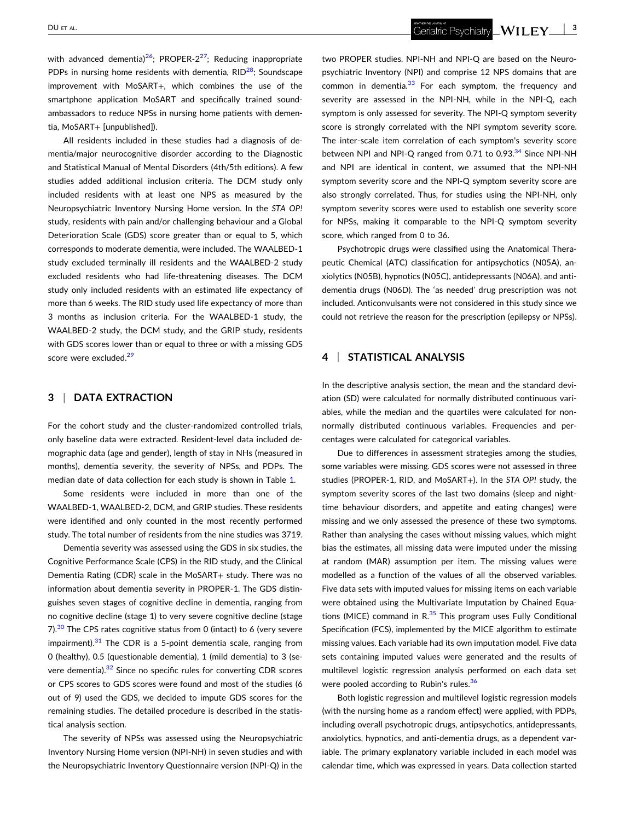Geriatric Psychiatry **WILEY** 3

with advanced dementia)<sup>26</sup>; PROPER-2<sup>[27](#page-8-0)</sup>; Reducing inappropriate PDPs in nursing home residents with dementia,  $RID^{28}$ ; Soundscape improvement with MoSART+, which combines the use of the smartphone application MoSART and specifically trained soundambassadors to reduce NPSs in nursing home patients with dementia, MoSART+ [unpublished]).

All residents included in these studies had a diagnosis of dementia/major neurocognitive disorder according to the Diagnostic and Statistical Manual of Mental Disorders (4th/5th editions). A few studies added additional inclusion criteria. The DCM study only included residents with at least one NPS as measured by the Neuropsychiatric Inventory Nursing Home version. In the *STA OP!* study, residents with pain and/or challenging behaviour and a Global Deterioration Scale (GDS) score greater than or equal to 5, which corresponds to moderate dementia, were included. The WAALBED‐1 study excluded terminally ill residents and the WAALBED‐2 study excluded residents who had life-threatening diseases. The DCM study only included residents with an estimated life expectancy of more than 6 weeks. The RID study used life expectancy of more than 3 months as inclusion criteria. For the WAALBED‐1 study, the WAALBED‐2 study, the DCM study, and the GRIP study, residents with GDS scores lower than or equal to three or with a missing GDS score were excluded.<sup>[29](#page-8-0)</sup>

# **3** <sup>|</sup> **DATA EXTRACTION**

For the cohort study and the cluster-randomized controlled trials, only baseline data were extracted. Resident‐level data included demographic data (age and gender), length of stay in NHs (measured in months), dementia severity, the severity of NPSs, and PDPs. The median date of data collection for each study is shown in Table [1](#page-3-0).

Some residents were included in more than one of the WAALBED‐1, WAALBED‐2, DCM, and GRIP studies. These residents were identified and only counted in the most recently performed study. The total number of residents from the nine studies was 3719.

Dementia severity was assessed using the GDS in six studies, the Cognitive Performance Scale (CPS) in the RID study, and the Clinical Dementia Rating (CDR) scale in the MoSART+ study. There was no information about dementia severity in PROPER‐1. The GDS distinguishes seven stages of cognitive decline in dementia, ranging from no cognitive decline (stage 1) to very severe cognitive decline (stage 7). $30$  The CPS rates cognitive status from 0 (intact) to 6 (very severe impairment). $31$  The CDR is a 5-point dementia scale, ranging from 0 (healthy), 0.5 (questionable dementia), 1 (mild dementia) to 3 (severe dementia).<sup>32</sup> Since no specific rules for converting CDR scores or CPS scores to GDS scores were found and most of the studies (6 out of 9) used the GDS, we decided to impute GDS scores for the remaining studies. The detailed procedure is described in the statistical analysis section.

The severity of NPSs was assessed using the Neuropsychiatric Inventory Nursing Home version (NPI‐NH) in seven studies and with the Neuropsychiatric Inventory Questionnaire version (NPI‐Q) in the

two PROPER studies. NPI‐NH and NPI‐Q are based on the Neuropsychiatric Inventory (NPI) and comprise 12 NPS domains that are common in dementia. $33$  For each symptom, the frequency and severity are assessed in the NPI-NH, while in the NPI-O, each symptom is only assessed for severity. The NPI‐Q symptom severity score is strongly correlated with the NPI symptom severity score. The inter‐scale item correlation of each symptom's severity score between NPI and NPI-Q ranged from 0.71 to 0.93.<sup>[34](#page-8-0)</sup> Since NPI-NH and NPI are identical in content, we assumed that the NPI‐NH symptom severity score and the NPI-Q symptom severity score are also strongly correlated. Thus, for studies using the NPI‐NH, only symptom severity scores were used to establish one severity score for NPSs, making it comparable to the NPI‐Q symptom severity score, which ranged from 0 to 36.

Psychotropic drugs were classified using the Anatomical Therapeutic Chemical (ATC) classification for antipsychotics (N05A), anxiolytics (N05B), hypnotics (N05C), antidepressants (N06A), and anti‐ dementia drugs (N06D). The 'as needed' drug prescription was not included. Anticonvulsants were not considered in this study since we could not retrieve the reason for the prescription (epilepsy or NPSs).

# **4** <sup>|</sup> **STATISTICAL ANALYSIS**

In the descriptive analysis section, the mean and the standard deviation (SD) were calculated for normally distributed continuous variables, while the median and the quartiles were calculated for nonnormally distributed continuous variables. Frequencies and percentages were calculated for categorical variables.

Due to differences in assessment strategies among the studies, some variables were missing. GDS scores were not assessed in three studies (PROPER‐1, RID, and MoSART+). In the *STA OP!* study, the symptom severity scores of the last two domains (sleep and night‐ time behaviour disorders, and appetite and eating changes) were missing and we only assessed the presence of these two symptoms. Rather than analysing the cases without missing values, which might bias the estimates, all missing data were imputed under the missing at random (MAR) assumption per item. The missing values were modelled as a function of the values of all the observed variables. Five data sets with imputed values for missing items on each variable were obtained using the Multivariate Imputation by Chained Equations (MICE) command in  $R^{35}$  $R^{35}$  $R^{35}$  This program uses Fully Conditional Specification (FCS), implemented by the MICE algorithm to estimate missing values. Each variable had its own imputation model. Five data sets containing imputed values were generated and the results of multilevel logistic regression analysis performed on each data set were pooled according to Rubin's rules.<sup>[36](#page-8-0)</sup>

Both logistic regression and multilevel logistic regression models (with the nursing home as a random effect) were applied, with PDPs, including overall psychotropic drugs, antipsychotics, antidepressants, anxiolytics, hypnotics, and anti‐dementia drugs, as a dependent variable. The primary explanatory variable included in each model was calendar time, which was expressed in years. Data collection started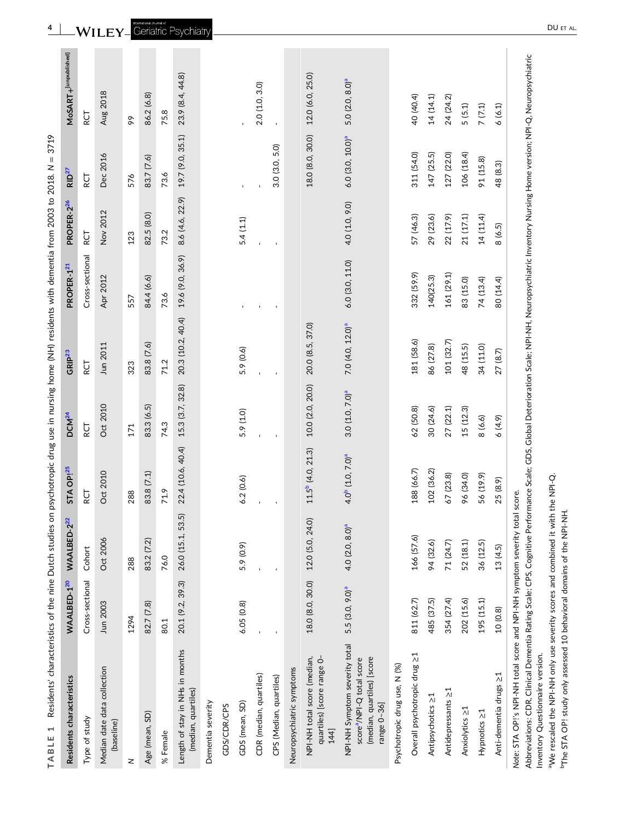<span id="page-3-0"></span>

| Residents' characteristics of the nine Dutch studies on psychotropic drug use in nursing home (NH) residents with dementia from 2003 to 2018. N<br>1<br>TABLE |                            |                            |                                          |                            |                              |                        |                 | 3719                         |                            |
|---------------------------------------------------------------------------------------------------------------------------------------------------------------|----------------------------|----------------------------|------------------------------------------|----------------------------|------------------------------|------------------------|-----------------|------------------------------|----------------------------|
| Residents characteristics                                                                                                                                     | WAALBED 120                | WAALBED-222                | STA OP <sup>125</sup>                    | DCM <sup>24</sup>          | GRIP <sup>23</sup>           | PROPER 1 <sup>21</sup> | PROPER-226      | RD <sup>27</sup>             | MoSART+[unpublished]       |
| Type of study                                                                                                                                                 | Cross-sectional            | Cohort                     | RCT                                      | RCT                        | RCT                          | Cross-sectional        | RCT             | RCT                          | RCT                        |
| Median date data collection<br>(baseline)                                                                                                                     | Jun 2003                   | Oct 2006                   | Oct 2010                                 | Oct 2010                   | Jun 2011                     | Apr 2012               | Nov 2012        | Dec 2016                     | Aug 2018                   |
| z                                                                                                                                                             | 1294                       | 288                        | 288                                      | 171                        | 323                          | 557                    | 123             | 576                          | 99                         |
| Age (mean, SD)                                                                                                                                                | 82.7 (7.8)                 | 83.2 (7.2)                 | 83.8 (7.1)                               | 83.3 (6.5)                 | 83.8 (7.6)                   | 84.4 (6.6)             | 82.5 (8.0)      | 83.7 (7.6)                   | 86.2 (6.8)                 |
| % Female                                                                                                                                                      | 80.1                       | 76.0                       | 71.9                                     | 74.3                       | 71.2                         | 73.6                   | 73.2            | 73.6                         | 75.8                       |
| Length of stay in NHs in months<br>(median, quartiles)                                                                                                        | 20.1 (9.2, 39.3)           | 26.0 (15.1, 53.5)          | 22.4 (10.6, 40.4)                        | 15.3 (3.7, 32.8)           | 20.3 (10.2, 40.4)            | 19.6 (9.0, 36.9)       | 8.6 (4.6, 22.9) | 19.7 (9.0, 35.1)             | 23.9 (8.4, 44.8)           |
| Dementia severity                                                                                                                                             |                            |                            |                                          |                            |                              |                        |                 |                              |                            |
| GDS/CDR/CPS                                                                                                                                                   |                            |                            |                                          |                            |                              |                        |                 |                              |                            |
| GDS (mean, SD)                                                                                                                                                | 6.05(0.8)                  | 5.9 (0.9)                  | 6.2(0.6)                                 | 5.9 (1.0)                  | 5.9 (0.6)                    |                        | 5.4(1.1)        |                              |                            |
| CDR (median, quartiles)                                                                                                                                       |                            |                            |                                          |                            |                              |                        |                 |                              | 2.0(1.0, 3.0)              |
| CPS (Median, quartiles)                                                                                                                                       |                            |                            |                                          |                            |                              |                        |                 | 3.0(3.0, 5.0)                | $\mathbf{r}$               |
| Neuropsychiatric symptoms                                                                                                                                     |                            |                            |                                          |                            |                              |                        |                 |                              |                            |
| quartiles) [score range 0-<br>NPI-NH total score (median,<br>144]                                                                                             | 18.0 (8.0, 30.0)           | 12.0 (5.0, 24.0)           | $11.5^b$ (4.0, 21.3)                     | 10.0 (2.0, 20.0)           | 20.0 (8.5, 37.0)             |                        |                 | 18.0 (8.0, 30.0)             | 12.0 (6.0, 25.0)           |
| NPI-NH Symptom severity total<br>(median, quartiles) [score<br>score <sup>a</sup> /NPI-Q total score<br>range 0-36]                                           | 5.5(3.0, 9.0) <sup>a</sup> | 4.0(2.0, 8.0) <sup>a</sup> | 4.0 <sup>b</sup> (1.0, 7.0) <sup>a</sup> | 3.0(1.0, 7.0) <sup>a</sup> | 7.0 (4.0, 12.0) <sup>a</sup> | 6.0 (3.0, 11.0)        | 4.0 (1.0, 9.0)  | 6.0 (3.0, 10.0) <sup>a</sup> | 5.0(2.0, 8.0) <sup>a</sup> |
| Psychotropic drug use, N (%)                                                                                                                                  |                            |                            |                                          |                            |                              |                        |                 |                              |                            |
| Overall psychotropic drug ≥1                                                                                                                                  | 811 (62.7)                 | 166 (57.6)                 | 188 (66.7)                               | 62 (50.8)                  | 181 (58.6)                   | 332 (59.9)             | 57 (46.3)       | 311 (54.0)                   | 40 (40.4)                  |
| Antipsychotics ≥1                                                                                                                                             | 485 (37.5)                 | 94 (32.6)                  | 102 (36.2)                               | 30 (24.6)                  | 86 (27.8)                    | 140(25.3)              | 29 (23.6)       | 147 (25.5)                   | 14 (14.1)                  |
| Antidepressants >1                                                                                                                                            | 354 (27.4)                 | 71 (24.7)                  | 67 (23.8)                                | 27(22.1)                   | 101 (32.7)                   | 161 (29.1)             | 22 (17.9)       | 127 (22.0)                   | 24 (24.2)                  |
| Anxiolytics ≥1                                                                                                                                                | 202 (15.6)                 | 52 (18.1)                  | 96 (34.0)                                | 15 (12.3)                  | 48 (15.5)                    | 83 (15.0)              | 21 (17.1)       | 106 (18.4)                   | 5(5.1)                     |
| Hypnotics >1                                                                                                                                                  | 195 (15.1)                 | 36 (12.5)                  | 56 (19.9)                                | 8(6.6)                     | 34 (11.0)                    | 74 (13.4)              | 14(11.4)        | 91 (15.8)                    | $7\ (7.1)$                 |
| Anti-dementia drugs ≥1                                                                                                                                        | 10 (0.8)                   | 13 (4.5)                   | 25 (8.9)                                 | 6(4.9)                     | 27(8.7)                      | 80 (14.4)              | 8(6.5)          | 48 (8.3)                     | 6(6.1)                     |
| Note: STA OP!'s NPI-NH total score and NPI-NH symptom severity total score.                                                                                   |                            |                            |                                          |                            |                              |                        |                 |                              |                            |

*Note*: STA OP!'s NPI‐NH total score and NPI‐NH symptom severity total score. Note: STA OP!'s NPI-NH total score and NPI-NH sympt

Abbreviations: CDR, Clinical Dementia Rating Scale; CPS, Cognitive Performance Scale; GDS, Global Deterioration Scale; NPI-NH, Neuropsychiatric Inventory Nursing Home version; NPI-Q, Neuropsychiatric Abbreviations: CDR, Clinical Dementia Rating Scale; CPS, Cognitive Performance Scale; GDS, Global Deterioration Scale; NPI‐NH, Neuropsychiatric Inventory Nursing Home version; NPI‐Q, Neuropsychiatric Inventory Questionnaire version. Inventory Questionnaire version.

<sup>a</sup>We rescaled the NPI-NH only use severity scores and combined it with the NPI-Q. aWe rescaled the NPI‐NH only use severity scores and combined it with the NPI‐Q.

<sup>b</sup>The STA OP! study only assessed 10 behavioral domains of the NPI-NH. bThe STA OP! study only assessed 10 behavioral domains of the NPI‐NH.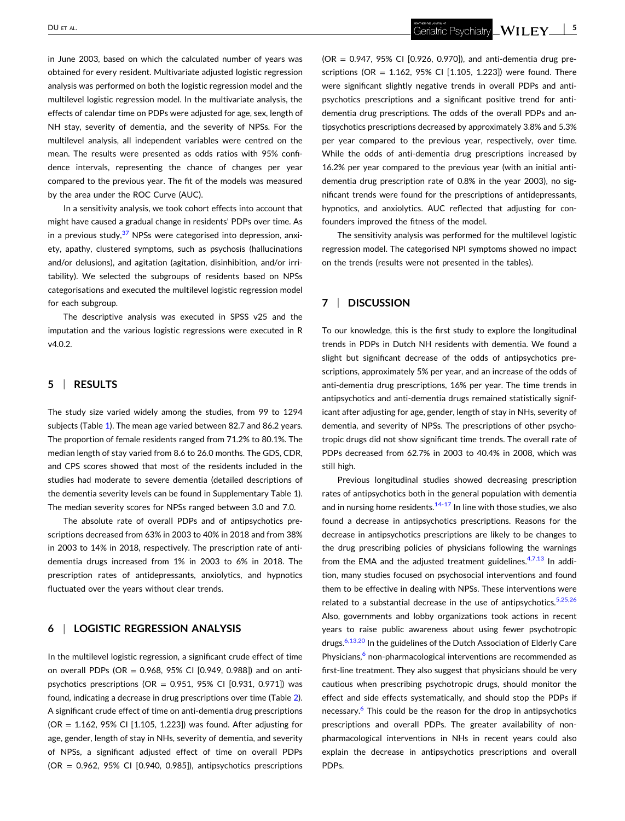in June 2003, based on which the calculated number of years was obtained for every resident. Multivariate adjusted logistic regression analysis was performed on both the logistic regression model and the multilevel logistic regression model. In the multivariate analysis, the effects of calendar time on PDPs were adjusted for age, sex, length of NH stay, severity of dementia, and the severity of NPSs. For the multilevel analysis, all independent variables were centred on the mean. The results were presented as odds ratios with 95% confidence intervals, representing the chance of changes per year compared to the previous year. The fit of the models was measured by the area under the ROC Curve (AUC).

In a sensitivity analysis, we took cohort effects into account that might have caused a gradual change in residents' PDPs over time. As in a previous study, $37$  NPSs were categorised into depression, anxiety, apathy, clustered symptoms, such as psychosis (hallucinations and/or delusions), and agitation (agitation, disinhibition, and/or irritability). We selected the subgroups of residents based on NPSs categorisations and executed the multilevel logistic regression model for each subgroup.

The descriptive analysis was executed in SPSS v25 and the imputation and the various logistic regressions were executed in R v4.0.2.

# **5** <sup>|</sup> **RESULTS**

The study size varied widely among the studies, from 99 to 1294 subjects (Table [1\)](#page-3-0). The mean age varied between 82.7 and 86.2 years. The proportion of female residents ranged from 71.2% to 80.1%. The median length of stay varied from 8.6 to 26.0 months. The GDS, CDR, and CPS scores showed that most of the residents included in the studies had moderate to severe dementia (detailed descriptions of the dementia severity levels can be found in Supplementary Table 1). The median severity scores for NPSs ranged between 3.0 and 7.0.

The absolute rate of overall PDPs and of antipsychotics prescriptions decreased from 63% in 2003 to 40% in 2018 and from 38% in 2003 to 14% in 2018, respectively. The prescription rate of antidementia drugs increased from 1% in 2003 to 6% in 2018. The prescription rates of antidepressants, anxiolytics, and hypnotics fluctuated over the years without clear trends.

#### **6** <sup>|</sup> **LOGISTIC REGRESSION ANALYSIS**

In the multilevel logistic regression, a significant crude effect of time on overall PDPs (OR =  $0.968$ ,  $95\%$  CI  $[0.949, 0.988]$ ) and on antipsychotics prescriptions (OR =  $0.951$ , 95% CI [0.931, 0.971]) was found, indicating a decrease in drug prescriptions over time (Table [2](#page-5-0)). A significant crude effect of time on anti‐dementia drug prescriptions (OR = 1.162, 95% CI [1.105, 1.223]) was found. After adjusting for age, gender, length of stay in NHs, severity of dementia, and severity of NPSs, a significant adjusted effect of time on overall PDPs  $(OR = 0.962, 95\% \text{ CI} [0.940, 0.985])$ , antipsychotics prescriptions

 $(OR = 0.947, 95\% \text{ CI} [0.926, 0.970])$ , and anti-dementia drug prescriptions (OR = 1.162, 95% CI [1.105, 1.223]) were found. There were significant slightly negative trends in overall PDPs and antipsychotics prescriptions and a significant positive trend for antidementia drug prescriptions. The odds of the overall PDPs and antipsychotics prescriptions decreased by approximately 3.8% and 5.3% per year compared to the previous year, respectively, over time. While the odds of anti-dementia drug prescriptions increased by 16.2% per year compared to the previous year (with an initial anti‐ dementia drug prescription rate of 0.8% in the year 2003), no significant trends were found for the prescriptions of antidepressants, hypnotics, and anxiolytics. AUC reflected that adjusting for confounders improved the fitness of the model.

The sensitivity analysis was performed for the multilevel logistic regression model. The categorised NPI symptoms showed no impact on the trends (results were not presented in the tables).

# **7** <sup>|</sup> **DISCUSSION**

To our knowledge, this is the first study to explore the longitudinal trends in PDPs in Dutch NH residents with dementia. We found a slight but significant decrease of the odds of antipsychotics prescriptions, approximately 5% per year, and an increase of the odds of anti-dementia drug prescriptions, 16% per year. The time trends in antipsychotics and anti‐dementia drugs remained statistically significant after adjusting for age, gender, length of stay in NHs, severity of dementia, and severity of NPSs. The prescriptions of other psychotropic drugs did not show significant time trends. The overall rate of PDPs decreased from 62.7% in 2003 to 40.4% in 2008, which was still high.

Previous longitudinal studies showed decreasing prescription rates of antipsychotics both in the general population with dementia and in nursing home residents. $14-17$  $14-17$  In line with those studies, we also found a decrease in antipsychotics prescriptions. Reasons for the decrease in antipsychotics prescriptions are likely to be changes to the drug prescribing policies of physicians following the warnings from the EMA and the adjusted treatment guidelines. $4,7,13$  In addition, many studies focused on psychosocial interventions and found them to be effective in dealing with NPSs. These interventions were related to a substantial decrease in the use of antipsychotics. $5,25,26$ Also, governments and lobby organizations took actions in recent years to raise public awareness about using fewer psychotropic drugs.<sup>6,13,20</sup> In the guidelines of the Dutch Association of Elderly Care Physicians,<sup>6</sup> non-pharmacological interventions are recommended as first-line treatment. They also suggest that physicians should be very cautious when prescribing psychotropic drugs, should monitor the effect and side effects systematically, and should stop the PDPs if necessary.<sup>6</sup> This could be the reason for the drop in antipsychotics prescriptions and overall PDPs. The greater availability of nonpharmacological interventions in NHs in recent years could also explain the decrease in antipsychotics prescriptions and overall PDPs.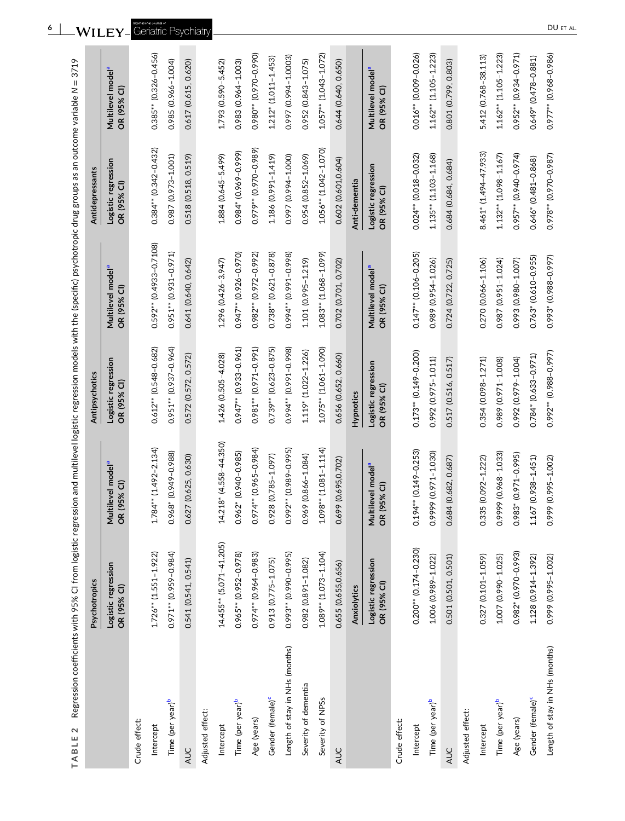| $\mathbf 2$<br>TABLE           | Regression coefficients with 95% CI from logistic regression and multilevel logistic regression models with the (specific) psychotropic drug groups as an outcome variable N = 3719 |                                              |                                    |                                              |                                    |                                              |
|--------------------------------|-------------------------------------------------------------------------------------------------------------------------------------------------------------------------------------|----------------------------------------------|------------------------------------|----------------------------------------------|------------------------------------|----------------------------------------------|
|                                | Psychotropics                                                                                                                                                                       |                                              | Antipsychotics                     |                                              | Antidepressants                    |                                              |
|                                | Logistic regression<br>OR (95% CI)                                                                                                                                                  | Multilevel model <sup>a</sup><br>OR (95% Cl) | Logistic regression<br>OR (95% CI) | Multilevel model <sup>a</sup><br>OR (95% CI) | Logistic regression<br>OR (95% CI) | Multilevel model <sup>a</sup><br>OR (95% CI) |
| Crude effect:                  |                                                                                                                                                                                     |                                              |                                    |                                              |                                    |                                              |
| Intercept                      | $1.726**$ (1.551-1.922)                                                                                                                                                             | $1.784*$ (1.492-2.134)                       | $0.612**$ (0.548-0.682)            | $0.592***$ (0.4933-0.7108)                   | $0.384*$ (0.342-0.432)             | $0.385**$ $(0.326 - 0.456)$                  |
| Time (per year) <sup>b</sup>   | 0.971** (0.959-0.984)                                                                                                                                                               | 0.968* (0.949-0.988)                         | 0.951** (0.937-0.964)              | $0.951**$ $(0.931-0.971)$                    | 0.987 (0.973-1.001)                | 0.985 (0.966-1.004)                          |
| <b>AUC</b>                     | 0.541 (0.541, 0.541)                                                                                                                                                                | 0.627 (0.625, 0.630)                         | 0.572 (0.572, 0.572)               | 0.641 (0.640, 0.642)                         | 0.518 (0.518, 0.519)               | 0.617 (0.615, 0.620)                         |
| Adjusted effect:               |                                                                                                                                                                                     |                                              |                                    |                                              |                                    |                                              |
| Intercept                      | 14.455** (5.071-41.205)                                                                                                                                                             | 14.218* (4.558-44.350)                       | 1.426 (0.505-4.028)                | 1.296 (0.426-3.947)                          | 1.884 (0.645-5.499)                | 1.793 (0.590-5.452)                          |
| Time (per year) <sup>b</sup>   | 0.965** (0.952-0.978)                                                                                                                                                               | 0.962* (0.940-0.985)                         | 0.947** (0.933-0.961)              | 0.947** (0.926-0.970)                        | 0.984* (0.969-0.999)               | 0.983 (0.964-1.003)                          |
| Age (years)                    | 0.974** (0.964-0.983)                                                                                                                                                               | 0.974** (0.965-0.984)                        | $0.981**$ (0.971-0.991)            | $0.982**$ (0.972-0.992)                      | 0.979** (0.970-0.989)              | 0.980** (0.970-0.990)                        |
| Gender (female) <sup>c</sup>   | 0.913 (0.775-1.075)                                                                                                                                                                 | 0.928 (0.785-1.097)                          | $0.739**$ ( $0.623-0.875$ )        | $0.738**$ $(0.621 - 0.878)$                  | 1.186 (0.991-1.419)                | 1.212* (1.011-1.453)                         |
| Length of stay in NHs (months) | 0.993* (0.990-0.995)                                                                                                                                                                | 0.992** (0.989-0.995)                        | 0.994** (0.991-0.998)              | 0.994** (0.991-0.998)                        | 0.997 (0.994-1.000)                | 0.997 (0.994-1.0003)                         |
| Severity of dementia           | 0.982 (0.891-1.082)                                                                                                                                                                 | 0.969 (0.866-1.084)                          | 1.119* (1.022-1.226)               | 1.101 (0.995-1.219)                          | 0.954 (0.852-1.069)                | 0.952 (0.843-1.075)                          |
| Severity of NPSs               | $1.089**$ (1.073-1.104)                                                                                                                                                             | $1.098**$ (1.081-1.114)                      | 1.075** (1.061-1.090)              | 1.083* (1.068-1.099)                         | $1.056**$ (1.042-1.070)            | $1.057**$ (1.043-1.072)                      |
| AUC                            | 0.655 (0.655,0.656)                                                                                                                                                                 | 0.699 (0.695,0.702)                          | 0.656 (0.652, 0.660)               | 0.702 (0.701, 0.702)                         | 0.602 (0.601,0.604)                | 0.644 (0.640, 0.650)                         |
|                                | Anxiolytics                                                                                                                                                                         |                                              | <b>Hypnotics</b>                   |                                              | Anti-dementia                      |                                              |
|                                | Logistic regression<br>OR (95% CI)                                                                                                                                                  | Multilevel model <sup>a</sup><br>OR (95% Cl) | Logistic regression<br>OR (95% CI) | Multilevel model <sup>a</sup><br>OR (95% CI) | Logistic regression<br>OR (95% CI) | Multilevel model <sup>a</sup><br>OR (95% CI) |
| Crude effect:                  |                                                                                                                                                                                     |                                              |                                    |                                              |                                    |                                              |
| Intercept                      | $0.200**$ (0.174-0.230)                                                                                                                                                             | 0.194** (0.149-0.253)                        | 0.173* (0.149-0.200)               | $0.147**$ (0.106-0.205)                      | $0.024*$ (0.018-0.032)             | 0.016* (0.009-0.026)                         |
| Time (per year) <sup>b</sup>   | 1.006 (0.989-1.022)                                                                                                                                                                 | 0.9999 (0.971-1.030)                         | 0.992 (0.975-1.011)                | 0.989 (0.954-1.026)                          | $1.135**$ $(1.103-1.168)$          | $1.162**$ (1.105-1.223)                      |
| <b>AUC</b>                     | 0.501 (0.501, 0.501)                                                                                                                                                                | 0.684 (0.682, 0.687)                         | 0.517 (0.516, 0.517)               | 0.724 (0.722, 0.725)                         | 0.684 (0.684, 0.684)               | 0.801 (0.799, 0.803)                         |
| Adjusted effect:               |                                                                                                                                                                                     |                                              |                                    |                                              |                                    |                                              |
| Intercept                      | 0.327 (0.101-1.059)                                                                                                                                                                 | 0.335 (0.092-1.222)                          | 0.354 (0.098-1.271)                | 0.270 (0.066-1.106)                          | 8.461* (1.494-47.933)              | 5.412 (0.768-38.113)                         |
| Time (per year) <sup>b</sup>   | 1.007 (0.990-1.025)                                                                                                                                                                 | 0.9999 (0.968-1.033)                         | 0.989 (0.971-1.008)                | 0.987 (0.951-1.024)                          | $1.132**$ $(1.098-1.167)$          | $1.162**$ (1.105-1.223)                      |
| Age (years)                    | 0.982* (0.970-0.993)                                                                                                                                                                | 0.983* (0.971-0.995)                         | 0.992 (0.979-1.004)                | 0.993 (0.980-1.007)                          | 0.957** (0.940-0.974)              | 0.952** (0.934-0.971)                        |
| Gender (female) <sup>c</sup>   | 1.128 (0.914-1.392)                                                                                                                                                                 | $1.167(0.938 - 1.451)$                       | 0.784* (0.633-0.971)               | 0.763* (0.610-0.955)                         | $0.646*$ (0.481-0.868)             | $0.649* (0.478 - 0.881)$                     |
| Length of stay in NHs (months) | 0.999 (0.995-1.002)                                                                                                                                                                 | 0.999 (0.995-1.002)                          | 0.992** (0.988-0.997)              | 0.993* (0.988-0.997)                         | 0.978** (0.970-0.987)              | 0.977** (0.968-0.986)                        |

<span id="page-5-0"></span>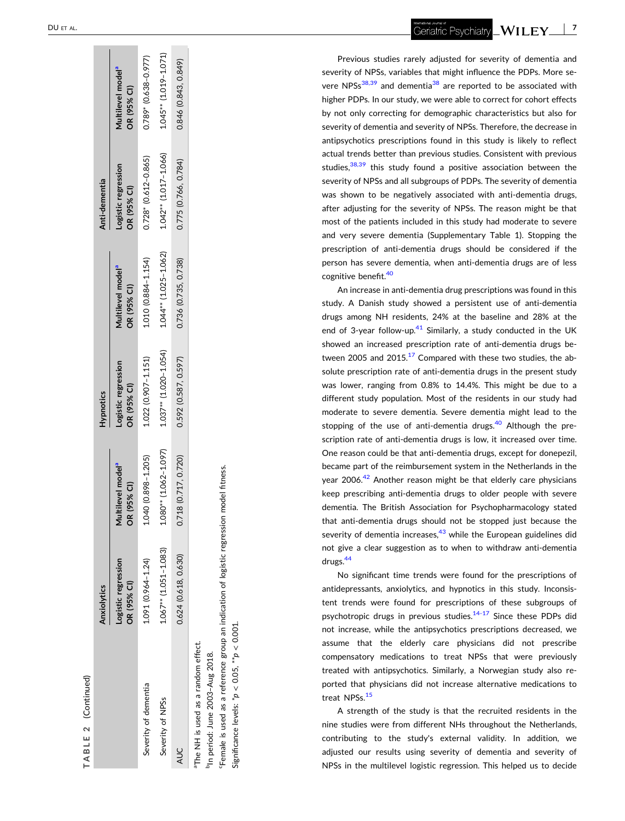| ï<br>¢ |  |
|--------|--|
| ı.     |  |
|        |  |

<span id="page-6-0"></span>

|                                                 | Anxiolytics                        |                                             | <b>Hypnotics</b>                   |                                              | Anti-dementia                      |                                              |
|-------------------------------------------------|------------------------------------|---------------------------------------------|------------------------------------|----------------------------------------------|------------------------------------|----------------------------------------------|
|                                                 | Logistic regression<br>OR (95% CI) | lultilevel model <sup>a</sup><br>R (95% CI) | Logistic regression<br>OR (95% CI) | Multilevel model <sup>a</sup><br>OR (95% CI) | Logistic regression<br>OR (95% CI) | Multilevel model <sup>a</sup><br>OR (95% CI) |
| Severity of dementia                            | $1.091(0.964 - 1.24)$              | 1.040 (0.898-1.205)                         | $1.022$ (0.907 - 1.151)            | 1.010 (0.884-1.154)                          | $0.728*(0.612 - 0.865)$            | $0.789$ $(0.638 - 0.977)$                    |
| Severity of NPSs                                | $.067**$ (1.051-1.083)             | $.080**$ (1.062-1.097)                      | $1.037***$ (1.020-1.054)           | $1.044**$ (1.025-1.062)                      | $1.042**$ $(1.017 - 1.066)$        | 1.045** (1.019-1.071)                        |
| <b>AUC</b>                                      | 0.624 (0.618, 0.630)               | 718 (0.717, 0.720)                          | $0.592$ $(0.587, 0.597)$           | 0.736 (0.735, 0.738)                         | 0.775 (0.766, 0.784)               | 0.846 (0.843, 0.849)                         |
| <sup>a</sup> The NH is used as a random effect. |                                    |                                             |                                    |                                              |                                    |                                              |

bIn period: June 2003–Aug 2018. <sup>1</sup>In period: June 2003-Aug 2018.

cFemale is used as a reference group an indication of logistic regression model fitness. Female is used as a reference group an indication of logistic regression model fitness

Significance levels: \**p* < 0.05, \*\**p* < 0.001. Significance levels:  $p < 0.05$ ,  $\frac{1}{2}p < 0.001$  Geriatric Psychiatry - **7**

Previous studies rarely adjusted for severity of dementia and severity of NPSs, variables that might influence the PDPs. More severe NPSs $38,39$  and dementia<sup>[38](#page-8-0)</sup> are reported to be associated with higher PDPs. In our study, we were able to correct for cohort effects by not only correcting for demographic characteristics but also for severity of dementia and severity of NPSs. Therefore, the decrease in antipsychotics prescriptions found in this study is likely to reflect actual trends better than previous studies. Consistent with previous studies,<sup>[38,39](#page-8-0)</sup> this study found a positive association between the severity of NPSs and all subgroups of PDPs. The severity of dementia was shown to be negatively associated with anti ‐dementia drugs, after adjusting for the severity of NPSs. The reason might be that most of the patients included in this study had moderate to severe and very severe dementia (Supplementary Table 1). Stopping the prescription of anti-dementia drugs should be considered if the person has severe dementia, when anti ‐dementia drugs are of less cognitive benefit.[40](#page-8-0)

An increase in anti-dementia drug prescriptions was found in this study. A Danish study showed a persistent use of anti ‐dementia drugs among NH residents, 24% at the baseline and 28% at the end of 3-year follow-up.<sup>41</sup> Similarly, a study conducted in the UK showed an increased prescription rate of anti ‐dementia drugs between 2005 and  $2015$ .<sup>[17](#page-8-0)</sup> Compared with these two studies, the absolute prescription rate of anti-dementia drugs in the present study was lower, ranging from 0.8% to 14.4%. This might be due to a different study population. Most of the residents in our study had moderate to severe dementia. Severe dementia might lead to the stopping of the use of anti-dementia drugs.<sup>40</sup> Although the prescription rate of anti-dementia drugs is low, it increased over time. One reason could be that anti-dementia drugs, except for donepezil, became part of the reimbursement system in the Netherlands in the year 2006.<sup>[42](#page-9-0)</sup> Another reason might be that elderly care physicians keep prescribing anti-dementia drugs to older people with severe dementia. The British Association for Psychopharmacology stated that anti ‐dementia drugs should not be stopped just because the severity of dementia increases, $43$  while the European guidelines did not give a clear suggestion as to when to withdraw anti ‐dementia drugs[.44](#page-9-0)

No significant time trends were found for the prescriptions of antidepressants, anxiolytics, and hypnotics in this study. Inconsistent trends were found for prescriptions of these subgroups of psychotropic drugs in previous studies.<sup>14-17</sup> Since these PDPs did not increase, while the antipsychotics prescriptions decreased, we assume that the elderly care physicians did not prescribe compensatory medications to treat NPSs that were previously treated with antipsychotics. Similarly, a Norwegian study also reported that physicians did not increase alternative medications to treat NPSs.<sup>[15](#page-8-0)</sup>

A strength of the study is that the recruited residents in the nine studies were from different NHs throughout the Netherlands, contributing to the study's external validity. In addition, we adjusted our results using severity of dementia and severity of NPSs in the multilevel logistic regression. This helped us to decide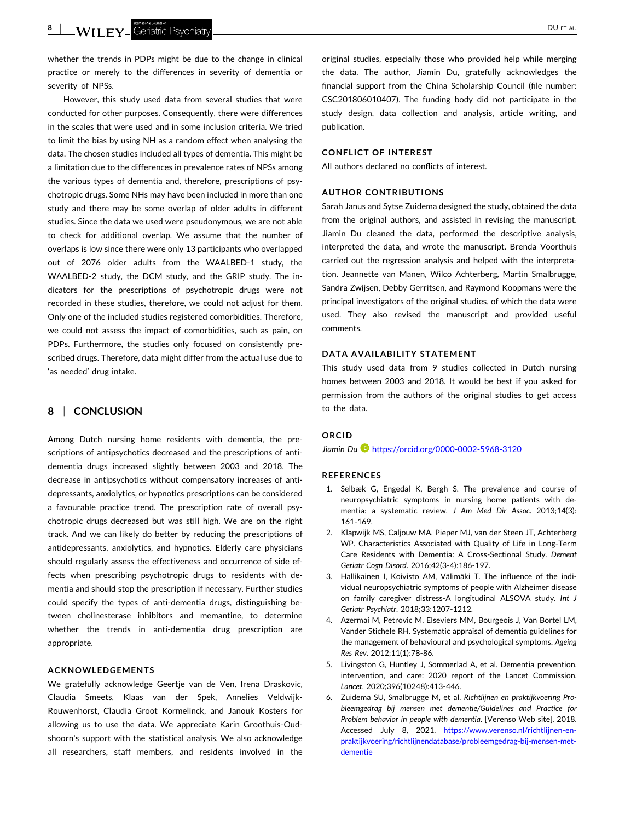<span id="page-7-0"></span>**8** | **Will FY** Geriatric Psychiatry **contract of the Contract of AL. All the Contract of AL. All the Contract of AL. All the AL. All the AL. All the AL. All the AL. All the AL. All the AL. All the AL. All the AL. All the** 

whether the trends in PDPs might be due to the change in clinical practice or merely to the differences in severity of dementia or severity of NPSs.

However, this study used data from several studies that were conducted for other purposes. Consequently, there were differences in the scales that were used and in some inclusion criteria. We tried to limit the bias by using NH as a random effect when analysing the data. The chosen studies included all types of dementia. This might be a limitation due to the differences in prevalence rates of NPSs among the various types of dementia and, therefore, prescriptions of psychotropic drugs. Some NHs may have been included in more than one study and there may be some overlap of older adults in different studies. Since the data we used were pseudonymous, we are not able to check for additional overlap. We assume that the number of overlaps is low since there were only 13 participants who overlapped out of 2076 older adults from the WAALBED‐1 study, the WAALBED‐2 study, the DCM study, and the GRIP study. The indicators for the prescriptions of psychotropic drugs were not recorded in these studies, therefore, we could not adjust for them. Only one of the included studies registered comorbidities. Therefore, we could not assess the impact of comorbidities, such as pain, on PDPs. Furthermore, the studies only focused on consistently prescribed drugs. Therefore, data might differ from the actual use due to 'as needed' drug intake.

# **8** <sup>|</sup> **CONCLUSION**

Among Dutch nursing home residents with dementia, the prescriptions of antipsychotics decreased and the prescriptions of anti‐ dementia drugs increased slightly between 2003 and 2018. The decrease in antipsychotics without compensatory increases of antidepressants, anxiolytics, or hypnotics prescriptions can be considered a favourable practice trend. The prescription rate of overall psychotropic drugs decreased but was still high. We are on the right track. And we can likely do better by reducing the prescriptions of antidepressants, anxiolytics, and hypnotics. Elderly care physicians should regularly assess the effectiveness and occurrence of side effects when prescribing psychotropic drugs to residents with dementia and should stop the prescription if necessary. Further studies could specify the types of anti‐dementia drugs, distinguishing between cholinesterase inhibitors and memantine, to determine whether the trends in anti-dementia drug prescription are appropriate.

# **ACKNOWLEDGEMENTS**

We gratefully acknowledge Geertje van de Ven, Irena Draskovic, Claudia Smeets, Klaas van der Spek, Annelies Veldwijk‐ Rouwenhorst, Claudia Groot Kormelinck, and Janouk Kosters for allowing us to use the data. We appreciate Karin Groothuis‐Oudshoorn's support with the statistical analysis. We also acknowledge all researchers, staff members, and residents involved in the original studies, especially those who provided help while merging the data. The author, Jiamin Du, gratefully acknowledges the financial support from the China Scholarship Council (file number: CSC201806010407). The funding body did not participate in the study design, data collection and analysis, article writing, and publication.

#### **CONFLICT OF INTEREST**

All authors declared no conflicts of interest.

# **AUTHOR CONTRIBUTIONS**

Sarah Janus and Sytse Zuidema designed the study, obtained the data from the original authors, and assisted in revising the manuscript. Jiamin Du cleaned the data, performed the descriptive analysis, interpreted the data, and wrote the manuscript. Brenda Voorthuis carried out the regression analysis and helped with the interpretation. Jeannette van Manen, Wilco Achterberg, Martin Smalbrugge, Sandra Zwijsen, Debby Gerritsen, and Raymond Koopmans were the principal investigators of the original studies, of which the data were used. They also revised the manuscript and provided useful comments.

#### **DATA AVAILABILITY STATEMENT**

This study used data from 9 studies collected in Dutch nursing homes between 2003 and 2018. It would be best if you asked for permission from the authors of the original studies to get access to the data.

### **ORCID**

*Jiamin Du* <https://orcid.org/0000-0002-5968-3120>

#### **REFERENCES**

- 1. Selbæk G, Engedal K, Bergh S. The prevalence and course of neuropsychiatric symptoms in nursing home patients with dementia: a systematic review. *J Am Med Dir Assoc*. 2013;14(3): 161‐169.
- 2. Klapwijk MS, Caljouw MA, Pieper MJ, van der Steen JT, Achterberg WP. Characteristics Associated with Quality of Life in Long‐Term Care Residents with Dementia: A Cross‐Sectional Study. *Dement Geriatr Cogn Disord*. 2016;42(3‐4):186‐197.
- 3. Hallikainen I, Koivisto AM, Välimäki T. The influence of the individual neuropsychiatric symptoms of people with Alzheimer disease on family caregiver distress‐A longitudinal ALSOVA study. *Int J Geriatr Psychiatr*. 2018;33:1207‐1212.
- 4. Azermai M, Petrovic M, Elseviers MM, Bourgeois J, Van Bortel LM, Vander Stichele RH. Systematic appraisal of dementia guidelines for the management of behavioural and psychological symptoms. *Ageing Res Rev*. 2012;11(1):78‐86.
- 5. Livingston G, Huntley J, Sommerlad A, et al. Dementia prevention, intervention, and care: 2020 report of the Lancet Commission. *Lancet*. 2020;396(10248):413‐446.
- 6. Zuidema SU, Smalbrugge M, et al. *Richtlijnen en praktijkvoering Probleemgedrag bij mensen met dementie/Guidelines and Practice for Problem behavior in people with dementia*. [Verenso Web site]. 2018. Accessed July 8, 2021. [https://www.verenso.nl/richtlijnen](https://www.verenso.nl/richtlijnen-en-praktijkvoering/richtlijnendatabase/probleemgedrag-bij-mensen-met-dementie)-en[praktijkvoering/richtlijnendatabase/probleemgedrag](https://www.verenso.nl/richtlijnen-en-praktijkvoering/richtlijnendatabase/probleemgedrag-bij-mensen-met-dementie)‐bij‐mensen‐met‐ [dementie](https://www.verenso.nl/richtlijnen-en-praktijkvoering/richtlijnendatabase/probleemgedrag-bij-mensen-met-dementie)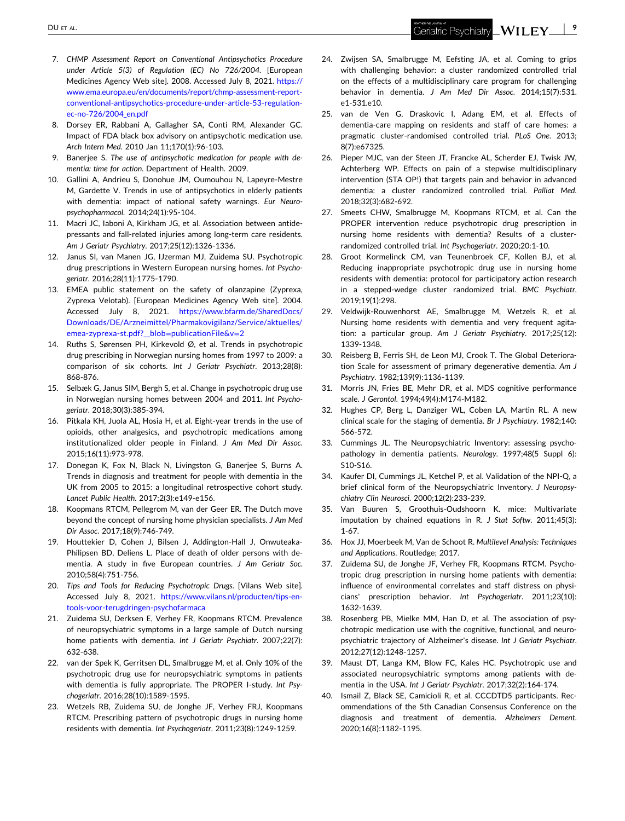- <span id="page-8-0"></span>7. *CHMP Assessment Report on Conventional Antipsychotics Procedure under Article 5(3) of Regulation (EC) No 726/2004*. [European Medicines Agency Web site]. 2008. Accessed July 8, 2021. [https://](https://www.ema.europa.eu/en/documents/report/chmp-assessment-report-conventional-antipsychotics-procedure-under-article-53-regulation-ec-no-726/2004_en.pdf) [www.ema.europa.eu/en/documents/report/chmp](https://www.ema.europa.eu/en/documents/report/chmp-assessment-report-conventional-antipsychotics-procedure-under-article-53-regulation-ec-no-726/2004_en.pdf)‐assessment‐report‐ conventional‐[antipsychotics](https://www.ema.europa.eu/en/documents/report/chmp-assessment-report-conventional-antipsychotics-procedure-under-article-53-regulation-ec-no-726/2004_en.pdf)‐procedure‐under‐article‐53‐regulation‐ ec‐no‐[726/2004\\_en.pdf](https://www.ema.europa.eu/en/documents/report/chmp-assessment-report-conventional-antipsychotics-procedure-under-article-53-regulation-ec-no-726/2004_en.pdf)
- 8. Dorsey ER, Rabbani A, Gallagher SA, Conti RM, Alexander GC. Impact of FDA black box advisory on antipsychotic medication use. *Arch Intern Med*. 2010 Jan 11;170(1):96‐103.
- 9. Banerjee S. *The use of antipsychotic medication for people with dementia: time for action*. Department of Health. 2009.
- 10. Gallini A, Andrieu S, Donohue JM, Oumouhou N, Lapeyre‐Mestre M, Gardette V. Trends in use of antipsychotics in elderly patients with dementia: impact of national safety warnings. *Eur Neuropsychopharmacol*. 2014;24(1):95‐104.
- 11. Macri JC, Iaboni A, Kirkham JG, et al. Association between antidepressants and fall‐related injuries among long‐term care residents. *Am J Geriatr Psychiatry*. 2017;25(12):1326‐1336.
- 12. Janus SI, van Manen JG, IJzerman MJ, Zuidema SU. Psychotropic drug prescriptions in Western European nursing homes. *Int Psychogeriatr*. 2016;28(11):1775‐1790.
- 13. EMEA public statement on the safety of olanzapine (Zyprexa, Zyprexa Velotab). [European Medicines Agency Web site]. 2004. Accessed July 8, 2021. [https://www.bfarm.de/SharedDocs/](https://www.bfarm.de/SharedDocs/Downloads/DE/Arzneimittel/Pharmakovigilanz/Service/aktuelles/emea-zyprexa-st.pdf?__blob=publicationFile%26v=2) [Downloads/DE/Arzneimittel/Pharmakovigilanz/Service/aktuelles/](https://www.bfarm.de/SharedDocs/Downloads/DE/Arzneimittel/Pharmakovigilanz/Service/aktuelles/emea-zyprexa-st.pdf?__blob=publicationFile%26v=2) emea‐zyprexa‐st.pdf?\_\_blob=[publicationFile&v](https://www.bfarm.de/SharedDocs/Downloads/DE/Arzneimittel/Pharmakovigilanz/Service/aktuelles/emea-zyprexa-st.pdf?__blob=publicationFile%26v=2)=2
- 14. Ruths S, Sørensen PH, Kirkevold Ø, et al. Trends in psychotropic drug prescribing in Norwegian nursing homes from 1997 to 2009: a comparison of six cohorts. *Int J Geriatr Psychiatr*. 2013;28(8): 868‐876.
- 15. Selbæk G, Janus SIM, Bergh S, et al. Change in psychotropic drug use in Norwegian nursing homes between 2004 and 2011. *Int Psychogeriatr*. 2018;30(3):385‐394.
- 16. Pitkala KH, Juola AL, Hosia H, et al. Eight‐year trends in the use of opioids, other analgesics, and psychotropic medications among institutionalized older people in Finland. *J Am Med Dir Assoc*. 2015;16(11):973‐978.
- 17. Donegan K, Fox N, Black N, Livingston G, Banerjee S, Burns A. Trends in diagnosis and treatment for people with dementia in the UK from 2005 to 2015: a longitudinal retrospective cohort study. *Lancet Public Health*. 2017;2(3):e149‐e156.
- 18. Koopmans RTCM, Pellegrom M, van der Geer ER. The Dutch move beyond the concept of nursing home physician specialists. *J Am Med Dir Assoc*. 2017;18(9):746‐749.
- 19. Houttekier D, Cohen J, Bilsen J, Addington‐Hall J, Onwuteaka‐ Philipsen BD, Deliens L. Place of death of older persons with dementia. A study in five European countries. *J Am Geriatr Soc*. 2010;58(4):751‐756.
- 20. *Tips and Tools for Reducing Psychotropic Drugs*. [Vilans Web site]. Accessed July 8, 2021. [https://www.vilans.nl/producten/tips](https://www.vilans.nl/producten/tips-en-tools-voor-terugdringen-psychofarmaca)-entools‐voor‐terugdringen‐[psychofarmaca](https://www.vilans.nl/producten/tips-en-tools-voor-terugdringen-psychofarmaca)
- 21. Zuidema SU, Derksen E, Verhey FR, Koopmans RTCM. Prevalence of neuropsychiatric symptoms in a large sample of Dutch nursing home patients with dementia. *Int J Geriatr Psychiatr*. 2007;22(7): 632‐638.
- 22. van der Spek K, Gerritsen DL, Smalbrugge M, et al. Only 10% of the psychotropic drug use for neuropsychiatric symptoms in patients with dementia is fully appropriate. The PROPER I‐study. *Int Psychogeriatr*. 2016;28(10):1589‐1595.
- 23. Wetzels RB, Zuidema SU, de Jonghe JF, Verhey FRJ, Koopmans RTCM. Prescribing pattern of psychotropic drugs in nursing home residents with dementia. *Int Psychogeriatr*. 2011;23(8):1249‐1259.
- 24. Zwijsen SA, Smalbrugge M, Eefsting JA, et al. Coming to grips with challenging behavior: a cluster randomized controlled trial on the effects of a multidisciplinary care program for challenging behavior in dementia. *J Am Med Dir Assoc*. 2014;15(7):531. e1‐531.e10.
- 25. van de Ven G, Draskovic I, Adang EM, et al. Effects of dementia‐care mapping on residents and staff of care homes: a pragmatic cluster‐randomised controlled trial. *PLoS One*. 2013; 8(7):e67325.
- 26. Pieper MJC, van der Steen JT, Francke AL, Scherder EJ, Twisk JW, Achterberg WP. Effects on pain of a stepwise multidisciplinary intervention (STA OP!) that targets pain and behavior in advanced dementia: a cluster randomized controlled trial. *Palliat Med*. 2018;32(3):682‐692.
- 27. Smeets CHW, Smalbrugge M, Koopmans RTCM, et al. Can the PROPER intervention reduce psychotropic drug prescription in nursing home residents with dementia? Results of a cluster‐ randomized controlled trial. *Int Psychogeriatr*. 2020;20:1‐10.
- 28. Groot Kormelinck CM, van Teunenbroek CF, Kollen BJ, et al. Reducing inappropriate psychotropic drug use in nursing home residents with dementia: protocol for participatory action research in a stepped‐wedge cluster randomized trial. *BMC Psychiatr*. 2019;19(1):298.
- 29. Veldwijk‐Rouwenhorst AE, Smalbrugge M, Wetzels R, et al. Nursing home residents with dementia and very frequent agitation: a particular group. *Am J Geriatr Psychiatry*. 2017;25(12): 1339‐1348.
- 30. Reisberg B, Ferris SH, de Leon MJ, Crook T. The Global Deterioration Scale for assessment of primary degenerative dementia. *Am J Psychiatry*. 1982;139(9):1136‐1139.
- 31. Morris JN, Fries BE, Mehr DR, et al. MDS cognitive performance scale. *J Gerontol*. 1994;49(4):M174‐M182.
- 32. Hughes CP, Berg L, Danziger WL, Coben LA, Martin RL. A new clinical scale for the staging of dementia. *Br J Psychiatry*. 1982;140: 566‐572.
- 33. Cummings JL. The Neuropsychiatric Inventory: assessing psychopathology in dementia patients. *Neurology*. 1997;48(5 Suppl 6): S10‐S16.
- 34. Kaufer DI, Cummings JL, Ketchel P, et al. Validation of the NPI‐Q, a brief clinical form of the Neuropsychiatric Inventory. *J Neuropsychiatry Clin Neurosci*. 2000;12(2):233‐239.
- 35. Van Buuren S, Groothuis‐Oudshoorn K. mice: Multivariate imputation by chained equations in R. *J Stat Softw*. 2011;45(3): 1‐67.
- 36. Hox JJ, Moerbeek M, Van de Schoot R. *Multilevel Analysis: Techniques and Applications*. Routledge; 2017.
- 37. Zuidema SU, de Jonghe JF, Verhey FR, Koopmans RTCM. Psychotropic drug prescription in nursing home patients with dementia: influence of environmental correlates and staff distress on physicians' prescription behavior. *Int Psychogeriatr*. 2011;23(10): 1632‐1639.
- 38. Rosenberg PB, Mielke MM, Han D, et al. The association of psychotropic medication use with the cognitive, functional, and neuropsychiatric trajectory of Alzheimer's disease. *Int J Geriatr Psychiatr*. 2012;27(12):1248‐1257.
- 39. Maust DT, Langa KM, Blow FC, Kales HC. Psychotropic use and associated neuropsychiatric symptoms among patients with dementia in the USA. *Int J Geriatr Psychiatr*. 2017;32(2):164‐174.
- 40. Ismail Z, Black SE, Camicioli R, et al. CCCDTD5 participants. Recommendations of the 5th Canadian Consensus Conference on the diagnosis and treatment of dementia. *Alzheimers Dement*. 2020;16(8):1182‐1195.